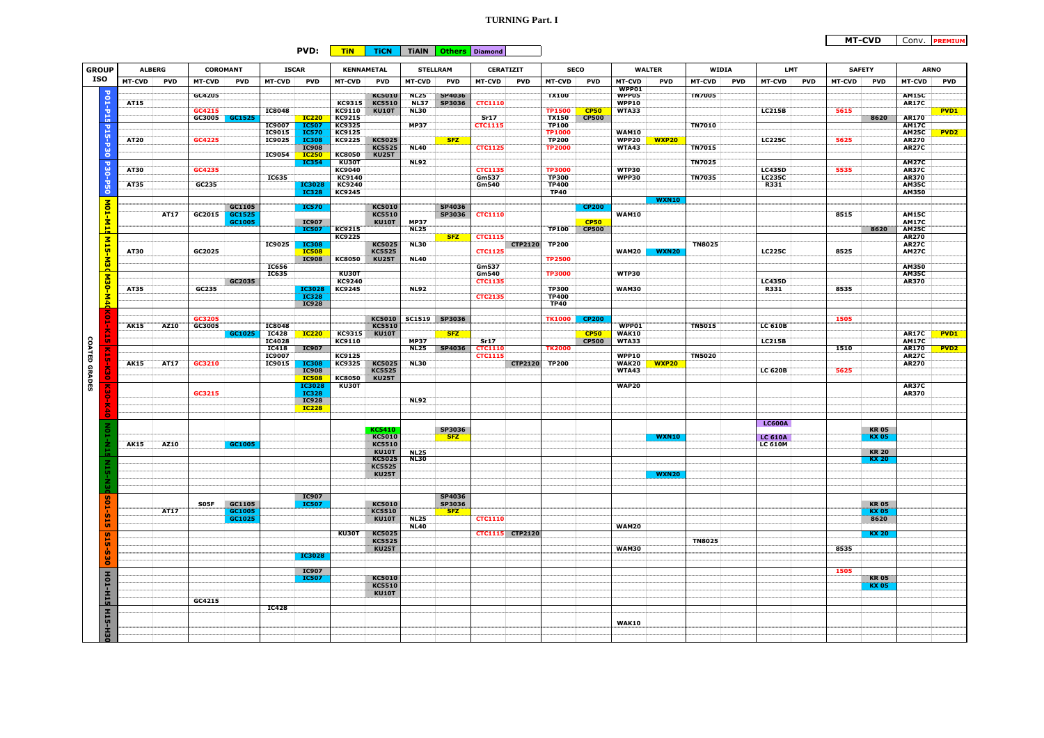## **TURNING Part. I**

## **PVD: TiN TiCN TiAlN Others Diamond**

| <b>GROUP</b>         |                         | <b>ALBERG</b>               |             | COROMANT      |            | <b>ISCAR</b>           |                              | <b>KENNAMETAL</b>       |                               | <b>STELLRAM</b>            |                  | <b>CERATIZIT</b>                |                | <b>SECO</b>                   |              | <b>WALTER</b>                |              | WIDIA                       |  | <b>LMT</b>                            |      | <b>SAFETY</b> | <b>ARNO</b>                 |                              |                  |
|----------------------|-------------------------|-----------------------------|-------------|---------------|------------|------------------------|------------------------------|-------------------------|-------------------------------|----------------------------|------------------|---------------------------------|----------------|-------------------------------|--------------|------------------------------|--------------|-----------------------------|--|---------------------------------------|------|---------------|-----------------------------|------------------------------|------------------|
| <b>ISO</b>           |                         | <b>MT-CVD</b><br><b>PVD</b> |             | <b>MT-CVD</b> |            | <b>MT-CVD</b>          | <b>PVD</b>                   | <b>MT-CVD</b>           | <b>PVD</b>                    | <b>MT-CVD</b>              | <b>PVD</b>       | <b>MT-CVD</b><br><b>PVD</b>     |                | <b>MT-CVD</b><br><b>PVD</b>   |              | MT-CVD                       | <b>PVD</b>   | <b>MT-CVD</b><br><b>PVD</b> |  | <b>PVD</b><br>MT-CVD<br><b>MT-CVD</b> |      |               | <b>PVD</b><br><b>MT-CVD</b> |                              | <b>PVD</b>       |
|                      |                         |                             |             |               | <b>PVD</b> |                        |                              |                         |                               |                            |                  |                                 |                |                               |              | WPP01                        |              |                             |  |                                       |      |               |                             |                              |                  |
|                      | <b>PO1-P15</b>          | AT15                        |             | GC4205        |            |                        |                              | KC9315                  | KC5010<br><b>KC5510</b>       | <b>NL25</b><br><b>NL37</b> | SP4036<br>SP3036 | <b>CTC1110</b>                  |                | <b>TX100</b>                  |              | WPP05<br>WPP10               |              | <b>TN7005</b>               |  |                                       |      |               |                             | <b>AM15C</b><br><b>AR17C</b> |                  |
|                      |                         |                             |             | GC4215        |            | <b>IC8048</b>          |                              | KC9110                  | <b>KU10T</b>                  | <b>NL30</b>                |                  |                                 |                | <b>TP1500</b>                 | <b>CP50</b>  | WTA33                        |              |                             |  | <b>LC215B</b>                         | 5615 |               |                             |                              | PVD <sub>1</sub> |
|                      |                         |                             |             | GC3005        | GC1525     |                        | <b>IC220</b>                 | KC9215                  |                               |                            |                  | Sr17                            |                | <b>TX150</b>                  | <b>CP500</b> |                              |              |                             |  |                                       |      |               | 8620                        | <b>AR170</b>                 |                  |
|                      | b15-P                   |                             |             |               |            | IC9007                 | <b>IC507</b>                 | KC9325                  |                               | <b>MP37</b>                |                  | <b>CTC1115</b>                  |                | <b>TP100</b>                  |              |                              |              | <b>TN7010</b>               |  |                                       |      |               |                             | <b>AM17C</b>                 |                  |
|                      |                         | <b>AT20</b>                 |             | GC4225        |            | IC9015<br>IC9025       | <b>IC570</b><br><b>IC308</b> | KC9125<br>KC9225        | <b>KC5025</b>                 |                            | <b>SFZ</b>       |                                 |                | <b>TP1000</b><br><b>TP200</b> |              | <b>WAM10</b><br><b>WPP20</b> | <b>WXP20</b> |                             |  | <b>LC225C</b>                         |      | 5625          |                             | <b>AM25C</b><br><b>AR270</b> | PVD <sub>2</sub> |
|                      |                         |                             |             |               |            |                        | <b>IC908</b>                 |                         | <b>KC5525</b>                 | <b>NL40</b>                |                  | <b>CTC1125</b>                  |                | <b>TP2000</b>                 |              | WTA43                        |              | <b>TN7015</b>               |  |                                       |      |               |                             | <b>AR27C</b>                 |                  |
|                      | ိမ                      |                             |             |               |            | IC9054                 | <b>IC250</b>                 | <b>KC8050</b>           | <b>KU25T</b>                  |                            |                  |                                 |                |                               |              |                              |              |                             |  |                                       |      |               |                             |                              |                  |
|                      | <b>DSO</b>              |                             |             |               |            |                        | <b>IC354</b>                 | KU30T                   |                               | <b>NL92</b>                |                  |                                 |                |                               |              |                              |              | <b>TN7025</b>               |  |                                       |      |               |                             | <b>AM27C</b>                 |                  |
|                      |                         | <b>AT30</b>                 |             | GC4235        |            | IC635                  |                              | KC9040<br><b>KC9140</b> |                               |                            |                  | <b>CTC1135</b><br>Gm537         |                | <b>TP3000</b><br><b>TP300</b> |              | WTP30<br>WPP30               |              | <b>TN7035</b>               |  | <b>LC435D</b><br><b>LC235C</b>        | 5535 |               |                             | <b>AR37C</b><br>AR370        |                  |
|                      | ÷                       | AT35                        |             | GC235         |            |                        | <b>IC3028</b>                | <b>KC9240</b>           |                               |                            |                  | <b>Gm540</b>                    |                | <b>TP400</b>                  |              |                              |              |                             |  | R331                                  |      |               |                             | <b>AM35C</b>                 |                  |
|                      | g                       |                             |             |               |            |                        | IC328                        | <b>KC9245</b>           |                               |                            |                  |                                 |                | <b>TP40</b>                   |              |                              |              |                             |  |                                       |      |               |                             | AM350                        |                  |
|                      |                         |                             |             |               | GC1105     |                        | <b>IC570</b>                 |                         | <b>KC5010</b>                 |                            | SP4036           |                                 |                |                               | <b>CP200</b> |                              | <b>WXN10</b> |                             |  |                                       |      |               |                             |                              |                  |
|                      | MO1-M15                 |                             | AT17        | GC2015        | GC1525     |                        |                              |                         | <b>KC5510</b>                 |                            | SP3036           | <b>CTC1110</b>                  |                |                               |              | <b>WAM10</b>                 |              |                             |  |                                       |      | 8515          |                             | <b>AM15C</b>                 |                  |
|                      |                         |                             |             |               | GC1005     |                        | <b>IC907</b>                 |                         | <b>KU10T</b>                  | <b>MP37</b>                |                  |                                 |                |                               | <b>CP50</b>  |                              |              |                             |  |                                       |      |               |                             | <b>AM17C</b>                 |                  |
|                      |                         |                             |             |               |            |                        | <b>IC507</b>                 | <b>KC9215</b>           |                               | <b>NL25</b>                |                  |                                 |                | <b>TP100</b>                  | <b>CP500</b> |                              |              |                             |  |                                       |      |               | 8620                        | <b>AM25C</b>                 |                  |
|                      |                         |                             |             |               |            | IC9025                 | <b>IC308</b>                 | <b>KC9225</b>           | <b>KC5025</b>                 | <b>NL30</b>                | <b>SFZ</b>       | <b>CTC1115</b>                  | CTP2120 TP200  |                               |              |                              |              | <b>TN8025</b>               |  |                                       |      |               |                             | <b>AR270</b><br><b>AR27C</b> |                  |
|                      | M15-M30                 | <b>AT30</b>                 |             | GC2025        |            |                        | <b>IC508</b>                 |                         | <b>KC5525</b>                 |                            |                  | <b>CTC1125</b>                  |                |                               |              | <b>WAM20</b>                 | <b>WXN20</b> |                             |  | <b>LC225C</b>                         | 8525 |               |                             | <b>AM27C</b>                 |                  |
|                      |                         |                             |             |               |            |                        | <b>IC908</b>                 | <b>KC8050</b>           | <b>KU25T</b>                  | <b>NL40</b>                |                  |                                 |                | <b>TP2500</b>                 |              |                              |              |                             |  |                                       |      |               |                             |                              |                  |
|                      |                         |                             |             |               |            | <b>IC656</b>           |                              |                         |                               |                            |                  | Gm537                           |                |                               |              |                              |              |                             |  |                                       |      |               |                             | <b>AM350</b>                 |                  |
|                      | M30-M40                 |                             |             |               | GC2035     | IC635                  |                              | <b>KU30T</b><br>KC9240  |                               |                            |                  | <b>Gm540</b><br><b>CTC1135</b>  |                | <b>TP3000</b>                 |              | WTP30                        |              |                             |  | <b>LC435D</b>                         |      |               |                             | <b>AM35C</b><br><b>AR370</b> |                  |
|                      |                         | AT35                        |             | GC235         |            |                        | <b>IC3028</b>                | <b>KC9245</b>           |                               | <b>NL92</b>                |                  |                                 |                | <b>TP300</b>                  |              | <b>WAM30</b>                 |              |                             |  | R331                                  |      | 8535          |                             |                              |                  |
|                      |                         |                             |             |               |            |                        | <b>IC328</b>                 |                         |                               |                            |                  | <b>CTC2135</b>                  |                | <b>TP400</b>                  |              |                              |              |                             |  |                                       |      |               |                             |                              |                  |
|                      |                         |                             |             |               |            |                        | <b>IC928</b>                 |                         |                               |                            |                  |                                 |                | <b>TP40</b>                   |              |                              |              |                             |  |                                       |      |               |                             |                              |                  |
|                      | $\tilde{e}$             |                             |             | GC3205        |            |                        |                              |                         | <b>KC5010</b>                 | <b>SC1519</b>              | SP3036           |                                 |                | <b>TK1000</b>                 | <b>CP200</b> |                              |              |                             |  |                                       | 1505 |               |                             |                              |                  |
|                      |                         | <b>AK15</b>                 | AZ10        | GC3005        |            | <b>IC8048</b>          |                              |                         | <b>KC5510</b>                 |                            |                  |                                 |                |                               |              | WPP01                        |              | <b>TN5015</b>               |  | <b>LC 610B</b>                        |      |               |                             |                              |                  |
|                      |                         |                             |             |               | GC1025     | <b>IC428</b>           | <b>IC220</b>                 | <b>KC9315</b>           | <b>KU10T</b>                  |                            | <b>SFZ</b>       |                                 |                |                               | <b>CP50</b>  | WAK10                        |              |                             |  |                                       |      |               |                             | <b>AR17C</b>                 | PVD1             |
| <b>COATED GRADES</b> | <b>G</b>                |                             |             |               |            | <b>IC4028</b>          |                              | <b>KC9110</b>           |                               | <b>MP37</b>                |                  | <b>Sr17</b>                     |                |                               | <b>CP500</b> | WTA33                        |              |                             |  | <b>LC215B</b>                         |      |               |                             | <b>AM17C</b>                 |                  |
|                      | $\overline{\mathbf{x}}$ |                             |             |               |            | <b>IC418</b><br>IC9007 | IC907                        | <b>KC9125</b>           |                               | <b>NL25</b>                | SP4036           | <b>CTC111</b><br><b>CTC1115</b> |                | <b>TK2000</b>                 |              | WPP10                        |              | <b>TN5020</b>               |  |                                       | 1510 |               |                             | <b>AR170</b><br><b>AR27C</b> | PVD <sub>2</sub> |
| Ù                    |                         | <b>AK15</b>                 | AT17        | GC3210        |            | IC9015                 | <b>IC308</b>                 | KC9325                  | <b>KC5025</b>                 | <b>NL30</b>                |                  |                                 |                | CTP2120 TP200                 |              | <b>WAK20</b>                 | <b>WXP20</b> |                             |  |                                       |      |               |                             | <b>AR270</b>                 |                  |
|                      | ż                       |                             |             |               |            |                        | <b>IC908</b>                 |                         | <b>KC5525</b>                 |                            |                  |                                 |                |                               |              | WTA43                        |              |                             |  | <b>LC 620B</b>                        | 5625 |               |                             |                              |                  |
|                      | ä                       |                             |             |               |            |                        | <b>IC508</b><br>IC3028       | <b>KC8050</b>           | <b>KU25T</b>                  |                            |                  |                                 |                |                               |              | <b>WAP20</b>                 |              |                             |  |                                       |      |               |                             |                              |                  |
|                      | $\overline{\tilde{c}}$  |                             |             | GC3215        |            |                        | <b>IC328</b>                 | KU30T                   |                               |                            |                  |                                 |                |                               |              |                              |              |                             |  |                                       |      |               |                             | <b>AR37C</b><br>AR370        |                  |
|                      |                         |                             |             |               |            |                        | <b>IC928</b>                 |                         |                               | <b>NL92</b>                |                  |                                 |                |                               |              |                              |              |                             |  |                                       |      |               |                             |                              |                  |
|                      | ×                       |                             |             |               |            |                        | <b>IC228</b>                 |                         |                               |                            |                  |                                 |                |                               |              |                              |              |                             |  |                                       |      |               |                             |                              |                  |
|                      |                         |                             |             |               |            |                        |                              |                         |                               |                            |                  |                                 |                |                               |              |                              |              |                             |  | <b>LC600A</b>                         |      |               |                             |                              |                  |
|                      |                         |                             |             |               |            |                        |                              |                         | KC5410                        |                            | SP3036           |                                 |                |                               |              |                              |              |                             |  |                                       |      |               | <b>KR05</b>                 |                              |                  |
|                      |                         |                             |             |               |            |                        |                              |                         | <b>KC5010</b>                 |                            | <b>SFZ</b>       |                                 |                |                               |              |                              | <b>WXN10</b> |                             |  | <b>LC 610A</b>                        |      |               | <b>KX 05</b>                |                              |                  |
|                      |                         | <b>AK15</b>                 | AZ10        |               | GC1005     |                        |                              |                         | <b>KC5510</b><br>KU10T        |                            |                  |                                 |                |                               |              |                              |              |                             |  | <b>LC 610M</b>                        |      |               | <b>KR 20</b>                |                              |                  |
|                      |                         |                             |             |               |            |                        |                              |                         | <b>KC5025</b>                 | <b>NL25</b><br><b>NL30</b> |                  |                                 |                |                               |              |                              |              |                             |  |                                       |      |               | <b>KX 20</b>                |                              |                  |
|                      |                         |                             |             |               |            |                        |                              |                         | <b>KC5525</b>                 |                            |                  |                                 |                |                               |              |                              |              |                             |  |                                       |      |               |                             |                              |                  |
|                      |                         |                             |             |               |            |                        |                              |                         | <b>KU25T</b>                  |                            |                  |                                 |                |                               |              |                              | <b>WXN20</b> |                             |  |                                       |      |               |                             |                              |                  |
|                      |                         |                             |             |               |            |                        |                              |                         |                               |                            |                  |                                 |                |                               |              |                              |              |                             |  |                                       |      |               |                             |                              |                  |
|                      |                         |                             |             |               |            |                        | IC907                        |                         |                               |                            | SP4036           |                                 |                |                               |              |                              |              |                             |  |                                       |      |               |                             |                              |                  |
|                      | <b>TOS</b>              |                             |             | S05F          | GC1105     |                        | <b>IC507</b>                 |                         | <b>KC5010</b>                 |                            | SP3036           |                                 |                |                               |              |                              |              |                             |  |                                       |      |               | <b>KR 05</b>                |                              |                  |
|                      | . Gr                    |                             | <b>AT17</b> |               | GC1005     |                        |                              |                         | <b>KC5510</b>                 |                            | <b>SFZ</b>       |                                 |                |                               |              |                              |              |                             |  |                                       |      |               | <b>KX 05</b>                |                              |                  |
|                      | 玩                       |                             |             |               | GC1025     |                        |                              |                         | <b>KU10T</b>                  | <b>NL25</b><br><b>NL40</b> |                  | <b>CTC1110</b>                  |                |                               |              | WAM20                        |              |                             |  |                                       |      |               | 8620                        |                              |                  |
|                      |                         |                             |             |               |            |                        |                              | KU30T                   | <b>KC5025</b>                 |                            |                  | <b>CTC1115</b>                  | <b>CTP2120</b> |                               |              |                              |              |                             |  |                                       |      |               | <b>KX 20</b>                |                              |                  |
|                      | <b>S15</b>              |                             |             |               |            |                        |                              |                         | <b>KC5525</b>                 |                            |                  |                                 |                |                               |              |                              |              | <b>TN8025</b>               |  |                                       |      |               |                             |                              |                  |
|                      |                         |                             |             |               |            |                        | <b>IC3028</b>                |                         | <b>KU25T</b>                  |                            |                  |                                 |                |                               |              | <b>WAM30</b>                 |              |                             |  |                                       | 8535 |               |                             |                              |                  |
|                      | <b>S30</b>              |                             |             |               |            |                        |                              |                         |                               |                            |                  |                                 |                |                               |              |                              |              |                             |  |                                       |      |               |                             |                              |                  |
|                      |                         |                             |             |               |            |                        | IC907                        |                         |                               |                            |                  |                                 |                |                               |              |                              |              |                             |  |                                       | 1505 |               |                             |                              |                  |
|                      | HO1-H15                 |                             |             |               |            |                        | <b>IC507</b>                 |                         | <b>KC5010</b>                 |                            |                  |                                 |                |                               |              |                              |              |                             |  |                                       |      |               | <b>KR05</b>                 |                              |                  |
|                      |                         |                             |             |               |            |                        |                              |                         | <b>KC5510</b><br><b>KU10T</b> |                            |                  |                                 |                |                               |              |                              |              |                             |  |                                       |      |               | <b>KX 05</b>                |                              |                  |
|                      |                         |                             |             | GC4215        |            |                        |                              |                         |                               |                            |                  |                                 |                |                               |              |                              |              |                             |  |                                       |      |               |                             |                              |                  |
|                      |                         |                             |             |               |            | <b>IC428</b>           |                              |                         |                               |                            |                  |                                 |                |                               |              |                              |              |                             |  |                                       |      |               |                             |                              |                  |
|                      | <b>H15-H3</b>           |                             |             |               |            |                        |                              |                         |                               |                            |                  |                                 |                |                               |              |                              |              |                             |  |                                       |      |               |                             |                              |                  |
|                      |                         |                             |             |               |            |                        |                              |                         |                               |                            |                  |                                 |                |                               |              | WAK10                        |              |                             |  |                                       |      |               |                             |                              |                  |
|                      |                         |                             |             |               |            |                        |                              |                         |                               |                            |                  |                                 |                |                               |              |                              |              |                             |  |                                       |      |               |                             |                              |                  |
|                      |                         |                             |             |               |            |                        |                              |                         |                               |                            |                  |                                 |                |                               |              |                              |              |                             |  |                                       |      |               |                             |                              |                  |